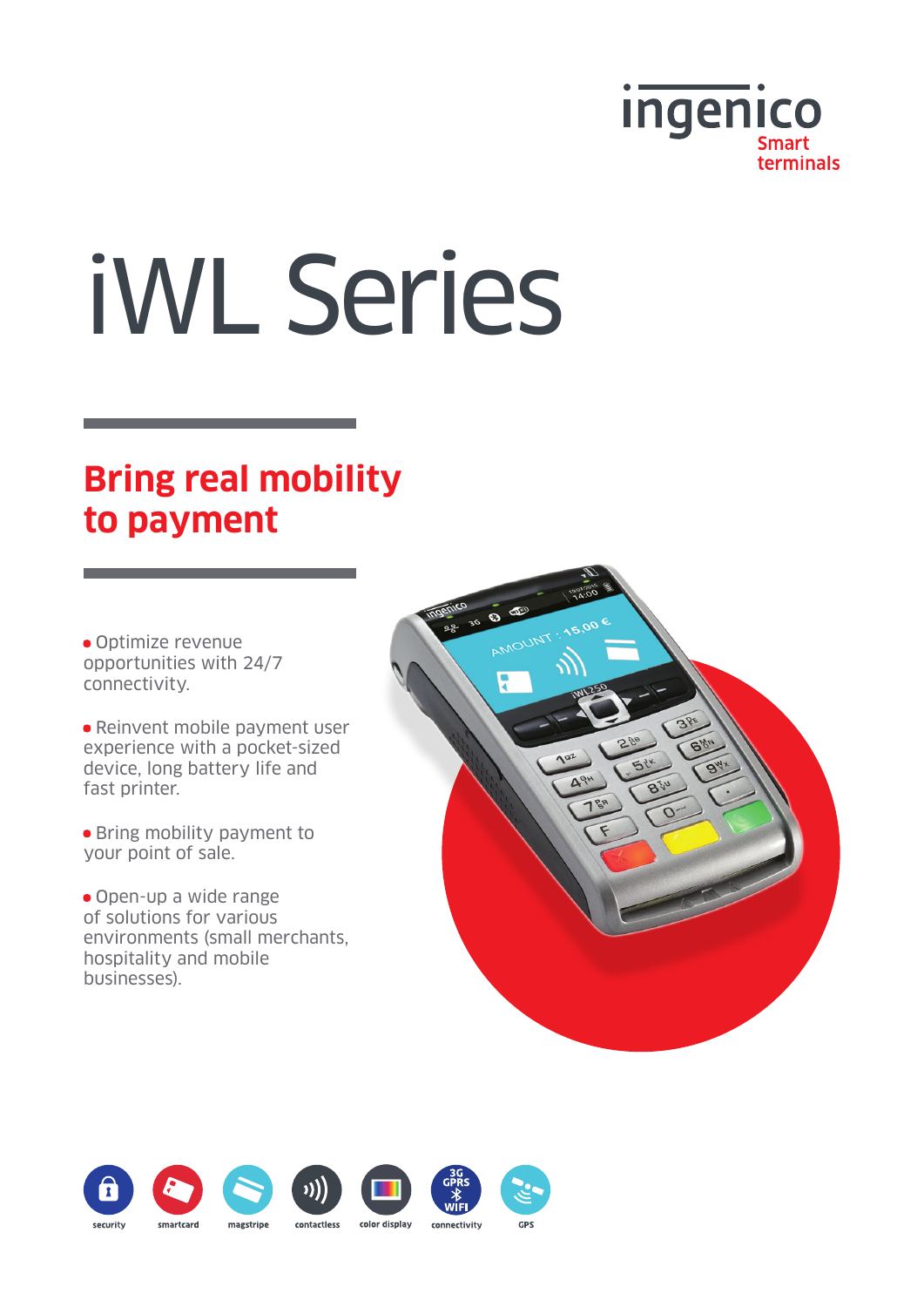

# iWL Series

## **Bring real mobility to payment**

• Optimize revenue opportunities with 24/7 connectivity.

• Reinvent mobile payment user experience with a pocket-sized device, long battery life and fast printer.

• Bring mobility payment to your point of sale.

• Open-up a wide range of solutions for various environments (small merchants, hospitality and mobile businesses).